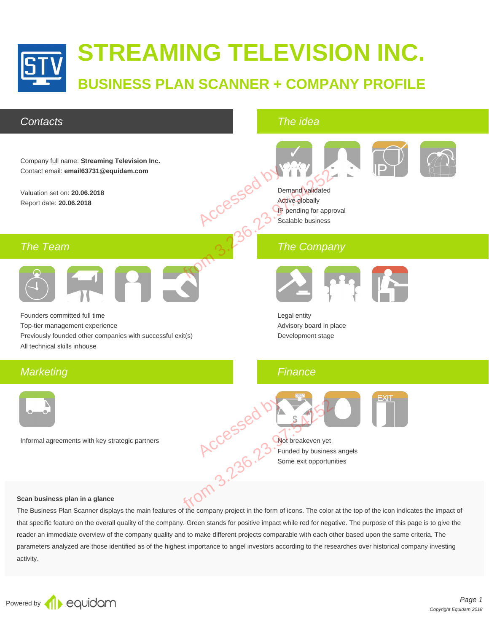

### **Contacts**

The idea



#### **Scan business plan in a glance**

The Business Plan Scanner displays the main features of the company project in the form of icons. The color at the top of the icon indicates the impact of that specific feature on the overall quality of the company. Green stands for positive impact while red for negative. The purpose of this page is to give the reader an immediate overview of the company quality and to make different projects comparable with each other based upon the same criteria. The parameters analyzed are those identified as of the highest importance to angel investors according to the researches over historical company investing activity.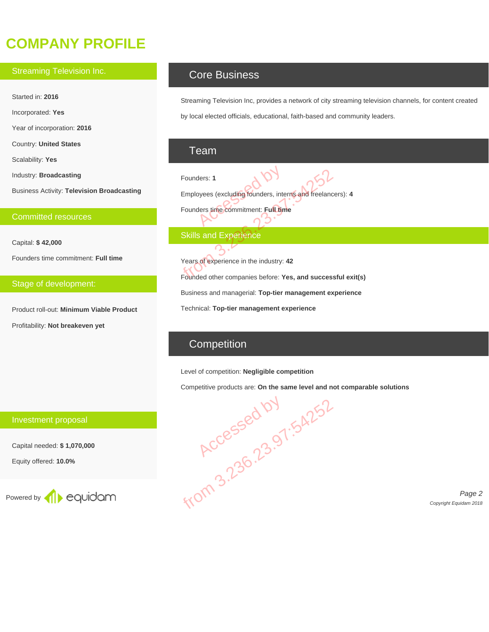# **COMPANY PROFILE**

#### Streaming Television Inc.

Started in: **2016**

Incorporated: **Yes**

Year of incorporation: **2016**

Country: **United States**

Scalability: **Yes**

Industry: **Broadcasting**

Business Activity: **Television Broadcasting**

#### Committed resources

Capital: **\$ 42,000**

Founders time commitment: **Full time**

#### Stage of development:

Product roll-out: **Minimum Viable Product** Profitability: **Not breakeven yet**

### Core Business

Streaming Television Inc, provides a network of city streaming television channels, for content created by local elected officials, educational, faith-based and community leaders.

### Team

Founders: **1** Employees (excluding founders, interns and freelancers): **4** Founders time commitment: **Full time** ders: 1<br>byees (excluding founders, intervalent production of the commitment: Full time

### **Skills and Experience**

Years of experience in the industry: **42** Founded other companies before: **Yes, and successful exit(s)** Business and managerial: **Top-tier management experience** Technical: **Top-tier management experience** Founders: 1<br>
Employees (excluding founders, interns and freelance<br>
Founders time commitment: Full time<br>
Skills and Experience<br>
Skills and Experience<br>
Skills and Experience<br>
Stars of experience in the industry: 42<br>
Founded

## **Competition**

#### Level of competition: **Negligible competition**

Competitive products are: **On the same level and not comparable solutions**



Page 2 Copyright Equidam 2018

### Investment proposal

Capital needed: **\$ 1,070,000**

Equity offered: **10.0%**

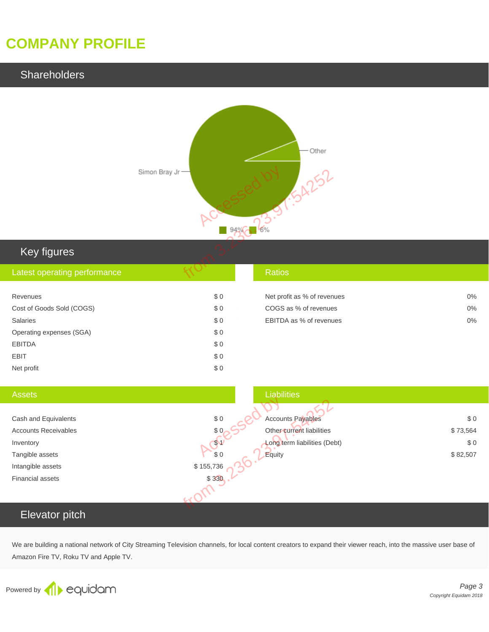# **COMPANY PROFILE**

### **Shareholders**



| Key figures                  |     |                             |       |
|------------------------------|-----|-----------------------------|-------|
| Latest operating performance |     | <b>Ratios</b>               |       |
| Revenues                     | \$0 | Net profit as % of revenues | $0\%$ |
| Cost of Goods Sold (COGS)    | \$0 | COGS as % of revenues       | $0\%$ |
| Salaries                     | \$0 | EBITDA as % of revenues     | $0\%$ |
| Operating expenses (SGA)     | \$0 |                             |       |
| <b>EBITDA</b>                | \$0 |                             |       |
| <b>EBIT</b>                  | \$0 |                             |       |

| <b>Assets</b>               | <b>Liabilities</b>                            |          |
|-----------------------------|-----------------------------------------------|----------|
|                             |                                               |          |
| Cash and Equivalents        | $$0$<br><b>Accounts Payables</b>              | \$0      |
| <b>Accounts Receivables</b> | \$0<br>Other current liabilities              | \$73,564 |
| Inventory                   | Long term liabilities (Debt)<br>$\mathcal{P}$ | \$0      |
| Tangible assets             | \$0<br>Equity                                 | \$82,507 |
| Intangible assets           | \$155,736                                     |          |
| <b>Financial assets</b>     | \$330                                         |          |
|                             |                                               |          |
| Elevator pitch              |                                               |          |
|                             |                                               |          |

# Elevator pitch

Net profit  $\qquad \qquad \mathfrak{g} \qquad 0$ 

We are building a national network of City Streaming Television channels, for local content creators to expand their viewer reach, into the massive user base of Amazon Fire TV, Roku TV and Apple TV.

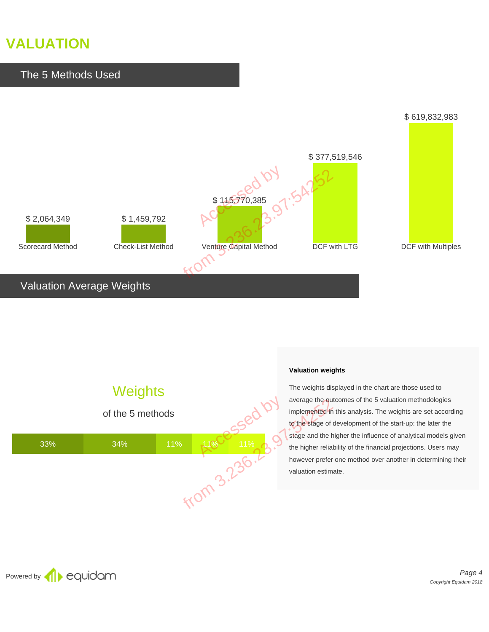# **VALUATION**



# Valuation Average Weights





#### **Valuation weights**

The weights displayed in the chart are those used to average the outcomes of the 5 valuation methodologies implemented in this analysis. The weights are set according to the stage of development of the start-up: the later the stage and the higher the influence of analytical models given the higher reliability of the financial projections. Users may however prefer one method over another in determining their valuation estimate.

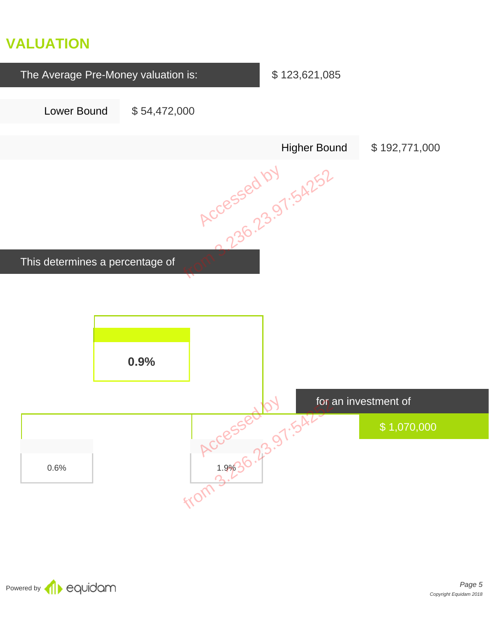# **VALUATION**



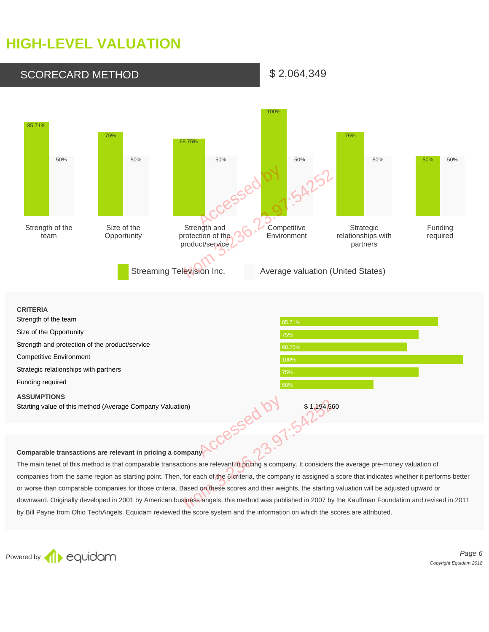# **HIGH-LEVEL VALUATION**



Starting value of this method (Average Company Valuation)<br> **Comparable transactions are relevant in pricing a company**<br>
The main tenet of this method is that comparable transactions are relevant in pricing a company. It co The main tenet of this method is that comparable transactions are relevant in pricing a company. It considers the average pre-money valuation of companies from the same region as starting point. Then, for each of the 6 criteria, the company is assigned a score that indicates whether it performs better or worse than comparable companies for those criteria. Based on these scores and their weights, the starting valuation will be adjusted upward or downward. Originally developed in 2001 by American business angels, this method was published in 2007 by the Kauffman Foundation and revised in 2011 by Bill Payne from Ohio TechAngels. Equidam reviewed the score system and the information on which the scores are attributed.

Powered by **C**ouidam

Page 6 Copyright Equidam 2018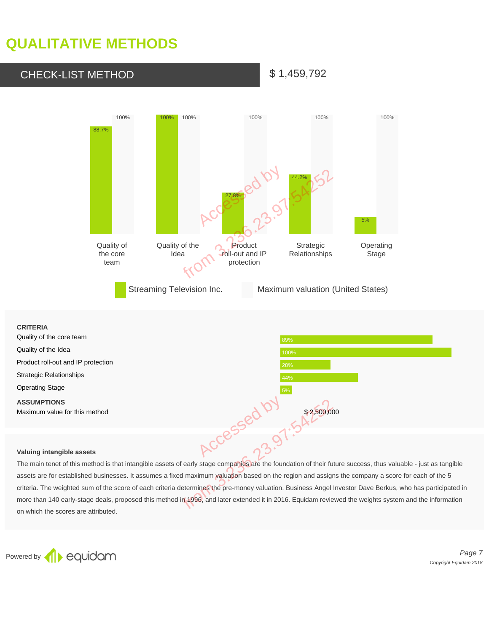# **QUALITATIVE METHODS**

# CHECK-LIST METHOD \$1,459,792



#### **CRITERIA**

| Quality of the core team                            | 89%         |
|-----------------------------------------------------|-------------|
| Quality of the Idea                                 | 100%        |
| Product roll-out and IP protection                  | 28%         |
| <b>Strategic Relationships</b>                      | 44%         |
| <b>Operating Stage</b>                              | 5%          |
| <b>ASSUMPTIONS</b><br>Maximum value for this method | \$2,500,000 |
|                                                     |             |
| Valuing intangible assets                           |             |

#### **Valuing intangible assets**

The main tenet of this method is that intangible assets of early stage companies are the foundation of their future success, thus valuable - just as tangible assets are for established businesses. It assumes a fixed maximum valuation based on the region and assigns the company a score for each of the 5 criteria. The weighted sum of the score of each criteria determines the pre-money valuation. Business Angel Investor Dave Berkus, who has participated in more than 140 early-stage deals, proposed this method in 1996, and later extended it in 2016. Equidam reviewed the weights system and the information on which the scores are attributed. \$2,500,00<br>sassets of early stage companies are the foundation of their fu<br>es a fixed maximum valuation based on the region and assign<br>criteria determines the pre-money valuation. Business Angel<br>method in 1996, and later ex

Powered by **C**OUIOOM

Page 7 Copyright Equidam 2018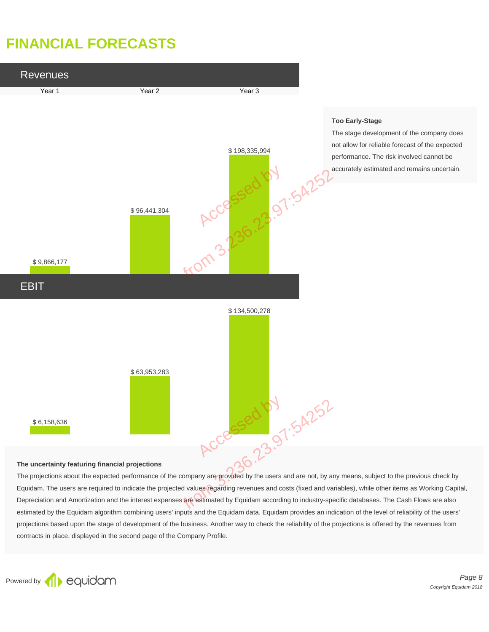# **FINANCIAL FORECASTS**



#### **The uncertainty featuring financial projections**

The projections about the expected performance of the company are provided by the users and are not, by any means, subject to the previous check by Equidam. The users are required to indicate the projected values regarding revenues and costs (fixed and variables), while other items as Working Capital, Depreciation and Amortization and the interest expenses are estimated by Equidam according to industry-specific databases. The Cash Flows are also estimated by the Equidam algorithm combining users' inputs and the Equidam data. Equidam provides an indication of the level of reliability of the users' projections based upon the stage of development of the business. Another way to check the reliability of the projections is offered by the revenues from contracts in place, displayed in the second page of the Company Profile.



Page 8 Copyright Equidam 2018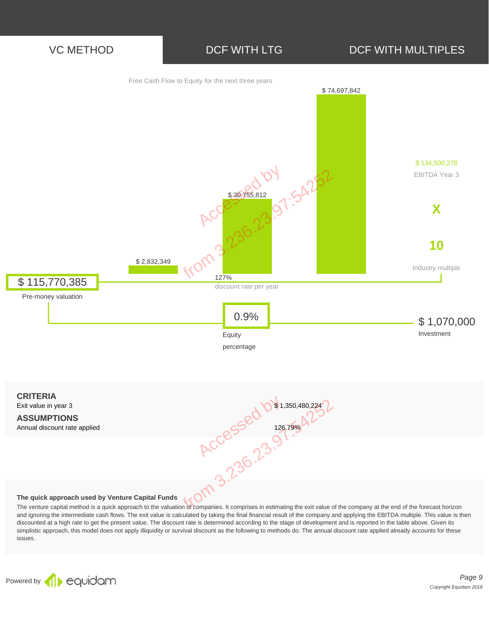



The venture capital method is a quick approach to the valuation of companies. It comprises in estimating the exit value of the company at the end of the forecast horizon and ignoring the intermediate cash flows. The exit value is calculated by taking the final financial result of the company and applying the EBITDA multiple. This value is then discounted at a high rate to get the present value. The discount rate is determined according to the stage of development and is reported in the table above. Given its simplistic approach, this model does not apply illiquidity or survival discount as the following to methods do. The annual discount rate applied already accounts for these issues.



Page 9 Copyright Equidam 2018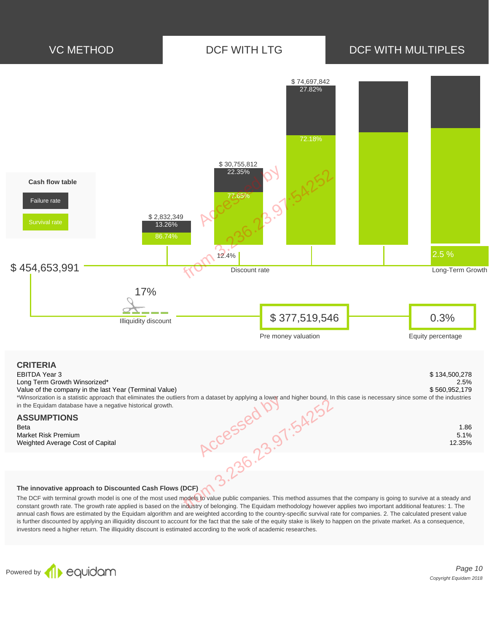

#### **The innovative approach to Discounted Cash Flows (DCF)**

The DCF with terminal growth model is one of the most used models to value public companies. This method assumes that the company is going to survive at a steady and constant growth rate. The growth rate applied is based on the industry of belonging. The Equidam methodology however applies two important additional features: 1. The annual cash flows are estimated by the Equidam algorithm and are weighted according to the country-specific survival rate for companies. 2. The calculated present value is further discounted by applying an illiquidity discount to account for the fact that the sale of the equity stake is likely to happen on the private market. As a consequence, investors need a higher return. The illiquidity discount is estimated according to the work of academic researches.



Page 10 Copyright Equidam 2018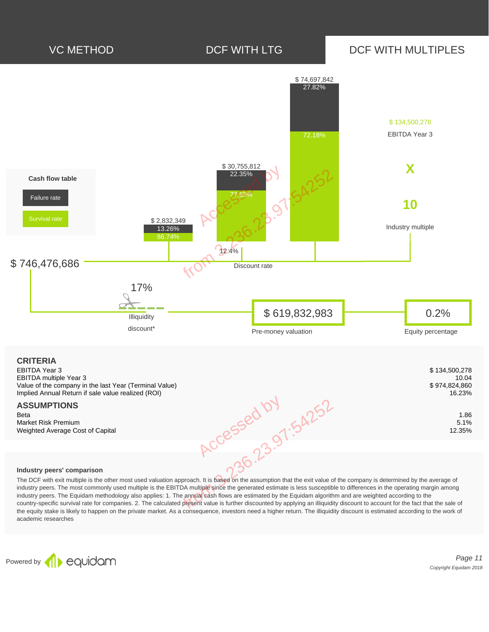

#### **Industry peers' comparison**

The DCF with exit multiple is the other most used valuation approach. It is based on the assumption that the exit value of the company is determined by the average of industry peers. The most commonly used multiple is the EBITDA multiple since the generated estimate is less susceptible to differences in the operating margin among industry peers. The Equidam methodology also applies: 1. The annual cash flows are estimated by the Equidam algorithm and are weighted according to the country-specific survival rate for companies. 2. The calculated present value is further discounted by applying an illiquidity discount to account for the fact that the sale of the equity stake is likely to happen on the private market. As a consequence, investors need a higher return. The illiquidity discount is estimated according to the work of academic researches

Powered by **1** equidam

Page 11 Copyright Equidam 2018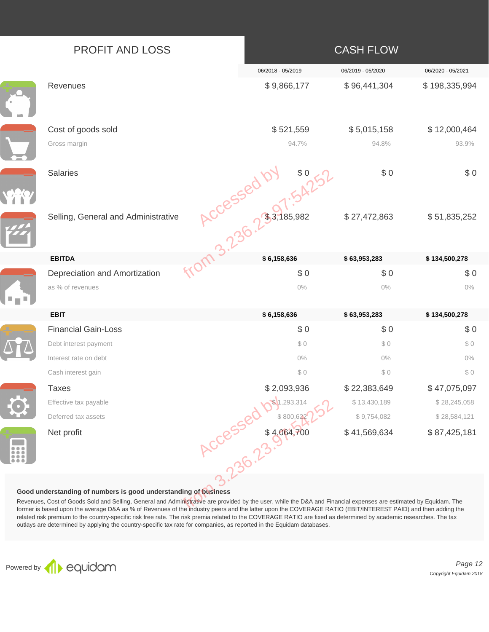|                                                                                                                                                                                                                                                                                                                                                                                                                                                                                                                                                                                                                                                                                                    | PROFIT AND LOSS                     |  |                                                          | <b>CASH FLOW</b>  |                   |
|----------------------------------------------------------------------------------------------------------------------------------------------------------------------------------------------------------------------------------------------------------------------------------------------------------------------------------------------------------------------------------------------------------------------------------------------------------------------------------------------------------------------------------------------------------------------------------------------------------------------------------------------------------------------------------------------------|-------------------------------------|--|----------------------------------------------------------|-------------------|-------------------|
|                                                                                                                                                                                                                                                                                                                                                                                                                                                                                                                                                                                                                                                                                                    |                                     |  | 06/2018 - 05/2019                                        | 06/2019 - 05/2020 | 06/2020 - 05/2021 |
|                                                                                                                                                                                                                                                                                                                                                                                                                                                                                                                                                                                                                                                                                                    | Revenues                            |  | \$9,866,177                                              | \$96,441,304      | \$198,335,994     |
|                                                                                                                                                                                                                                                                                                                                                                                                                                                                                                                                                                                                                                                                                                    | Cost of goods sold                  |  | \$521,559                                                | \$5,015,158       | \$12,000,464      |
|                                                                                                                                                                                                                                                                                                                                                                                                                                                                                                                                                                                                                                                                                                    | Gross margin                        |  | 94.7%                                                    | 94.8%             | 93.9%             |
|                                                                                                                                                                                                                                                                                                                                                                                                                                                                                                                                                                                                                                                                                                    | <b>Salaries</b>                     |  | <b>ACCESSED by \$0.251</b><br>Strative ACCESSED 07 54251 | \$0               | \$0               |
|                                                                                                                                                                                                                                                                                                                                                                                                                                                                                                                                                                                                                                                                                                    | Selling, General and Administrative |  |                                                          | \$27,472,863      | \$51,835,252      |
|                                                                                                                                                                                                                                                                                                                                                                                                                                                                                                                                                                                                                                                                                                    | <b>EBITDA</b>                       |  |                                                          | \$63,953,283      | \$134,500,278     |
|                                                                                                                                                                                                                                                                                                                                                                                                                                                                                                                                                                                                                                                                                                    | Depreciation and Amortization       |  |                                                          | \$0               | \$0               |
|                                                                                                                                                                                                                                                                                                                                                                                                                                                                                                                                                                                                                                                                                                    | as % of revenues                    |  | $0\%$                                                    | $0\%$             | $0\%$             |
|                                                                                                                                                                                                                                                                                                                                                                                                                                                                                                                                                                                                                                                                                                    | <b>EBIT</b>                         |  | \$6,158,636                                              | \$63,953,283      | \$134,500,278     |
|                                                                                                                                                                                                                                                                                                                                                                                                                                                                                                                                                                                                                                                                                                    | <b>Financial Gain-Loss</b>          |  | \$0                                                      | \$0               | \$0               |
|                                                                                                                                                                                                                                                                                                                                                                                                                                                                                                                                                                                                                                                                                                    | Debt interest payment               |  | \$0                                                      | \$0               | \$0               |
|                                                                                                                                                                                                                                                                                                                                                                                                                                                                                                                                                                                                                                                                                                    | Interest rate on debt               |  | $0\%$                                                    | $0\%$             | $0\%$             |
|                                                                                                                                                                                                                                                                                                                                                                                                                                                                                                                                                                                                                                                                                                    | Cash interest gain                  |  | \$0                                                      | \$0               | \$0               |
|                                                                                                                                                                                                                                                                                                                                                                                                                                                                                                                                                                                                                                                                                                    | Taxes                               |  | \$2,093,936                                              | \$22,383,649      | \$47,075,097      |
|                                                                                                                                                                                                                                                                                                                                                                                                                                                                                                                                                                                                                                                                                                    | Effective tax payable               |  |                                                          | \$13,430,189      | \$28,245,058      |
|                                                                                                                                                                                                                                                                                                                                                                                                                                                                                                                                                                                                                                                                                                    | Deferred tax assets                 |  |                                                          | \$9,754,082       | \$28,584,121      |
| $\begin{array}{ccccc} 0 & 0 & 0 \\ \end{array}$<br>$\bullet$ $\bullet$ $\bullet$<br>$\bullet$ $\bullet$ $\bullet$                                                                                                                                                                                                                                                                                                                                                                                                                                                                                                                                                                                  | Net profit                          |  | ACCESSED Days 23.5                                       | \$41,569,634      | \$87,425,181      |
| Good understanding of numbers is good understanding of business<br>Revenues, Cost of Goods Sold and Selling, General and Administrative are provided by the user, while the D&A and Financial expenses are estimated by Equidam. The<br>former is based upon the average D&A as % of Revenues of the industry peers and the latter upon the COVERAGE RATIO (EBIT/INTEREST PAID) and then adding the<br>related risk premium to the country-specific risk free rate. The risk premia related to the COVERAGE RATIO are fixed as determined by academic researches. The tax<br>outlays are determined by applying the country-specific tax rate for companies, as reported in the Equidam databases. |                                     |  |                                                          |                   |                   |

### **Good understanding of numbers is good understanding of business**



Page 12 Copyright Equidam 2018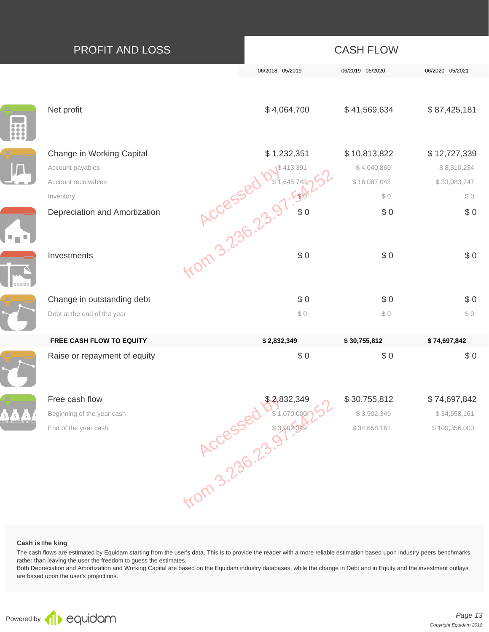| <b>PROFIT AND LOSS</b>                                                            |                              | <b>CASH FLOW</b>                                   |                                                     |
|-----------------------------------------------------------------------------------|------------------------------|----------------------------------------------------|-----------------------------------------------------|
|                                                                                   | 06/2018 - 05/2019            | 06/2019 - 05/2020                                  | 06/2020 - 05/2021                                   |
| Net profit                                                                        | \$4,064,700                  | \$41,569,634                                       | \$87,425,181                                        |
| Change in Working Capital<br>Account payables<br>Account receivables<br>Inventory | \$1,232,351<br>1,232, 1,232, | \$10,813,822<br>\$4,040,869<br>\$16,087,043<br>\$0 | \$12,727,339<br>\$8,310,234<br>\$33,083,747<br>\$ 0 |
| Depreciation and Amortization<br>Investments                                      |                              | \$0<br>\$0                                         | \$0<br>\$0                                          |
| Change in outstanding debt<br>Debt at the end of the year                         | \$0<br>\$0                   | \$0<br>\$0                                         | \$0<br>\$0                                          |
| FREE CASH FLOW TO EQUITY                                                          | \$2,832,349                  | \$30,755,812                                       | \$74,697,842                                        |
| Raise or repayment of equity                                                      | \$0                          | \$0                                                | \$0                                                 |
| Free cash flow                                                                    |                              | \$30,755,812                                       | \$74,697,842                                        |
| Beginning of the year cash                                                        |                              | \$3,902,349                                        | \$34,658,161                                        |
| End of the year cash                                                              | <b>ACCESSED \$39025349</b>   | \$34,658,161                                       | \$109,356,003                                       |

#### **Cash is the king**

The cash flows are estimated by Equidam starting from the user's data. This is to provide the reader with a more reliable estimation based upon industry peers benchmarks rather than leaving the user the freedom to guess the estimates.

Both Depreciation and Amortization and Working Capital are based on the Equidam industry databases, while the change in Debt and in Equity and the investment outlays are based upon the user's projections.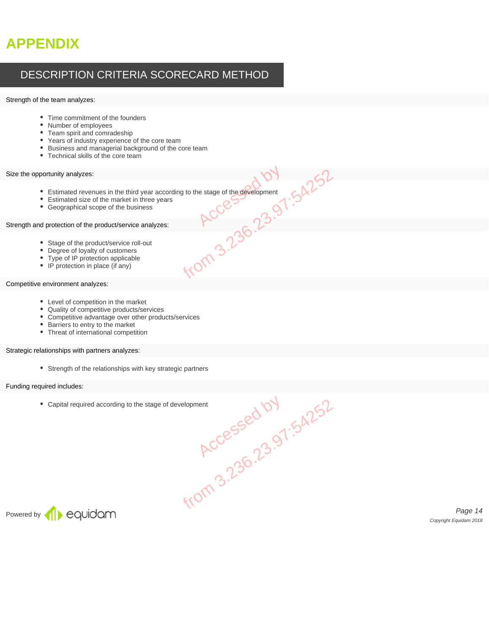# **APPENDIX**

### DESCRIPTION CRITERIA SCORECARD METHOD

#### Strength of the team analyzes:

- Time commitment of the founders
- Number of employees
- Team spirit and comradeship
- Years of industry experience of the core team
- Business and managerial background of the core team
- Technical skills of the core team

#### Size the opportunity analyzes:

- Estimated revenues in the third year according to the stage of the development according to the stage of the development<br>
years<br>
RCCES 3.23.97:54252<br>
FRCCES 3.23.97:54252
- Estimated size of the market in three years
- Geographical scope of the business

#### Strength and protection of the product/service analyzes:

- Stage of the product/service roll-out
- Degree of loyalty of customers
- Type of IP protection applicable
- IP protection in place (if any)

#### Competitive environment analyzes:

- Level of competition in the market
- Quality of competitive products/services
- Competitive advantage over other products/services
- Barriers to entry to the market
- Threat of international competition

#### Strategic relationships with partners analyzes:

Strength of the relationships with key strategic partners

#### Funding required includes:

Capital required according to the stage of development Be of development<br>
RCCeSsed by<br>
RCCeSsed by<br>
RCCeSsed by



Page 14 Copyright Equidam 2018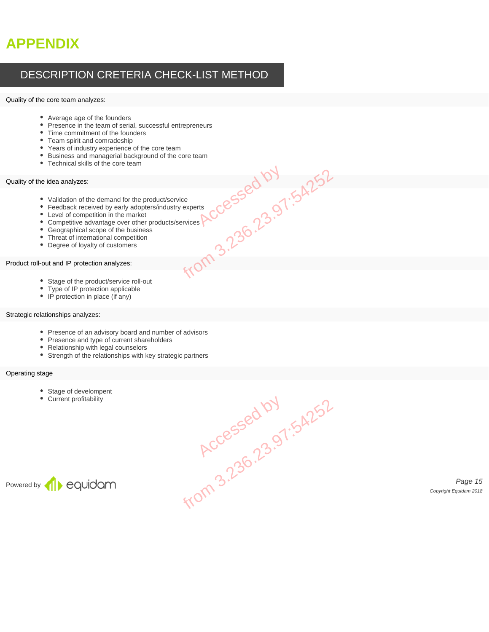# **APPENDIX**

### DESCRIPTION CRETERIA CHECK-LIST METHOD

#### Quality of the core team analyzes:

- Average age of the founders
- Presence in the team of serial, successful entrepreneurs
- Time commitment of the founders
- Team spirit and comradeship
- Years of industry experience of the core team
- Business and managerial background of the core team
- Technical skills of the core team

#### Quality of the idea analyzes:

- Validation of the demand for the product/service
- Feedback received by early adopters/industry experts
- Level of competition in the market
- Competitive advantage over other products/services Huct/service<br>
Mindustry experts<br>
oducts/services RCCC55001.54252
- Geographical scope of the business
- Threat of international competition
- Degree of loyalty of customers

#### Product roll-out and IP protection analyzes:

- Stage of the product/service roll-out
- Type of IP protection applicable
- IP protection in place (if any)

#### Strategic relationships analyzes:

- Presence of an advisory board and number of advisors
- Presence and type of current shareholders
- Relationship with legal counselors
- Strength of the relationships with key strategic partners

#### Operating stage

- Stage of develompent
- Current profitability



Page 15 Copyright Equidam 2018